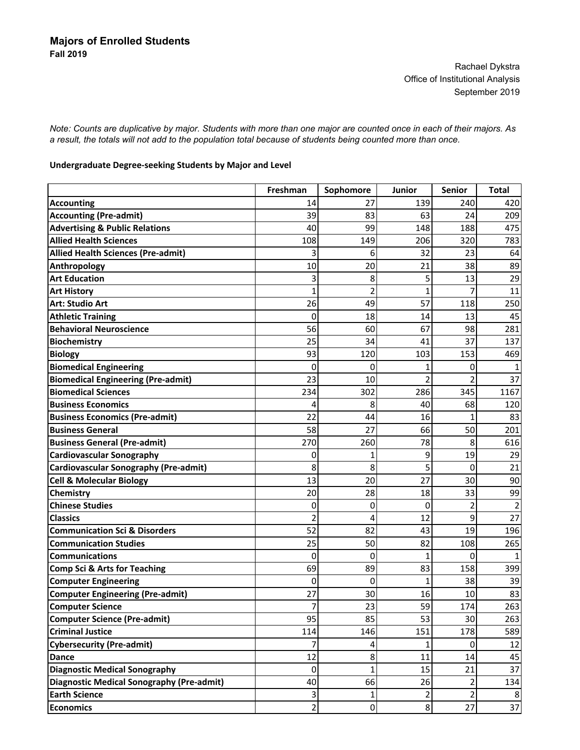Rachael Dykstra Office of Institutional Analysis September 2019

*Note: Counts are duplicative by major. Students with more than one major are counted once in each of their majors. As a result, the totals will not add to the population total because of students being counted more than once.*

## **Undergraduate Degree‐seeking Students by Major and Level**

|                                              | Freshman       | Sophomore      | <b>Junior</b>  | <b>Senior</b> | <b>Total</b> |
|----------------------------------------------|----------------|----------------|----------------|---------------|--------------|
| <b>Accounting</b>                            | 14             | 27             | 139            | 240           | 420          |
| <b>Accounting (Pre-admit)</b>                | 39             | 83             | 63             | 24            | 209          |
| <b>Advertising &amp; Public Relations</b>    | 40             | 99             | 148            | 188           | 475          |
| <b>Allied Health Sciences</b>                | 108            | 149            | 206            | 320           | 783          |
| <b>Allied Health Sciences (Pre-admit)</b>    | 3              | 6              | 32             | 23            | 64           |
| Anthropology                                 | 10             | 20             | 21             | 38            | 89           |
| <b>Art Education</b>                         | 3              | 8              | 5              | 13            | 29           |
| <b>Art History</b>                           | 1              | $\overline{2}$ | 1              |               | 11           |
| <b>Art: Studio Art</b>                       | 26             | 49             | 57             | 118           | 250          |
| <b>Athletic Training</b>                     | 0              | 18             | 14             | 13            | 45           |
| <b>Behavioral Neuroscience</b>               | 56             | 60             | 67             | 98            | 281          |
| <b>Biochemistry</b>                          | 25             | 34             | 41             | 37            | 137          |
| <b>Biology</b>                               | 93             | 120            | 103            | 153           | 469          |
| <b>Biomedical Engineering</b>                | 0              | 0              |                | 0             |              |
| <b>Biomedical Engineering (Pre-admit)</b>    | 23             | 10             | 2              |               | 37           |
| <b>Biomedical Sciences</b>                   | 234            | 302            | 286            | 345           | 1167         |
| <b>Business Economics</b>                    | 4              | 8              | 40             | 68            | 120          |
| <b>Business Economics (Pre-admit)</b>        | 22             | 44             | 16             | 1             | 83           |
| <b>Business General</b>                      | 58             | 27             | 66             | 50            | 201          |
| <b>Business General (Pre-admit)</b>          | 270            | 260            | 78             | 8             | 616          |
| <b>Cardiovascular Sonography</b>             | 0              | 1              | 9              | 19            | 29           |
| <b>Cardiovascular Sonography (Pre-admit)</b> | 8              | 8              | 5              | 0             | 21           |
| <b>Cell &amp; Molecular Biology</b>          | 13             | 20             | 27             | 30            | 90           |
| <b>Chemistry</b>                             | 20             | 28             | 18             | 33            | 99           |
| <b>Chinese Studies</b>                       | 0              | 0              | 0              | 2             |              |
| <b>Classics</b>                              | 2              | 4              | 12             | 9             | 27           |
| <b>Communication Sci &amp; Disorders</b>     | 52             | 82             | 43             | 19            | 196          |
| <b>Communication Studies</b>                 | 25             | 50             | 82             | 108           | 265          |
| <b>Communications</b>                        | 0              | 0              | 1              | 0             |              |
| <b>Comp Sci &amp; Arts for Teaching</b>      | 69             | 89             | 83             | 158           | 399          |
| <b>Computer Engineering</b>                  | 0              | 0              | 1              | 38            | 39           |
| <b>Computer Engineering (Pre-admit)</b>      | 27             | 30             | 16             | 10            | 83           |
| <b>Computer Science</b>                      | 7              | 23             | 59             | 174           | 263          |
| <b>Computer Science (Pre-admit)</b>          | 95             | 85             | 53             | 30            | 263          |
| <b>Criminal Justice</b>                      | 114            | 146            | 151            | 178           | 589          |
| <b>Cybersecurity (Pre-admit)</b>             | 7              | 4              | 1              | $\Omega$      | 12           |
| <b>Dance</b>                                 | 12             | 8              | 11             | 14            | 45           |
| <b>Diagnostic Medical Sonography</b>         | 0              | $\mathbf 1$    | 15             | 21            | 37           |
| Diagnostic Medical Sonography (Pre-admit)    | 40             | 66             | 26             | 2             | 134          |
| <b>Earth Science</b>                         | 3              | $\mathbf{1}$   | 2              |               |              |
| <b>Economics</b>                             | $\overline{a}$ | $\overline{0}$ | 8 <sup>1</sup> | 27            | 37           |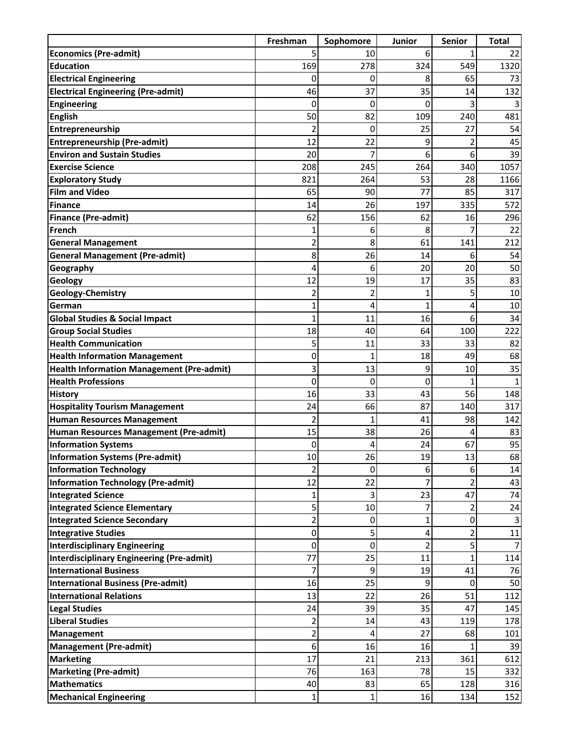|                                                  | Freshman       | Sophomore | Junior         | Senior         | <b>Total</b>   |
|--------------------------------------------------|----------------|-----------|----------------|----------------|----------------|
| <b>Economics (Pre-admit)</b>                     |                | 10        | 6              |                | 22             |
| <b>Education</b>                                 | 169            | 278       | 324            | 549            | 1320           |
| <b>Electrical Engineering</b>                    | 0              | 0         | 8              | 65             | 73             |
| <b>Electrical Engineering (Pre-admit)</b>        | 46             | 37        | 35             | 14             | 132            |
| <b>Engineering</b>                               | 0              | 0         | 0              | 3              |                |
| <b>English</b>                                   | 50             | 82        | 109            | 240            | 481            |
| Entrepreneurship                                 | $\overline{2}$ | 0         | 25             | 27             | 54             |
| <b>Entrepreneurship (Pre-admit)</b>              | 12             | 22        | 9              | $\overline{2}$ | 45             |
| <b>Environ and Sustain Studies</b>               | 20             |           | 6              | 6              | 39             |
| <b>Exercise Science</b>                          | 208            | 245       | 264            | 340            | 1057           |
| <b>Exploratory Study</b>                         | 821            | 264       | 53             | 28             | 1166           |
| <b>Film and Video</b>                            | 65             | 90        | 77             | 85             | 317            |
| <b>Finance</b>                                   | 14             | 26        | 197            | 335            | 572            |
| <b>Finance (Pre-admit)</b>                       | 62             | 156       | 62             | 16             | 296            |
| French                                           | 1              | 6         | 8              |                | 22             |
| <b>General Management</b>                        | 2              | 8         | 61             | 141            | 212            |
| <b>General Management (Pre-admit)</b>            | 8              | 26        | 14             | 6              | 54             |
| Geography                                        | 4              | 6         | 20             | 20             | 50             |
| Geology                                          | 12             | 19        | 17             | 35             | 83             |
| Geology-Chemistry                                | 2              | 2         | 1              | 5              | 10             |
| German                                           | 1              | 4         | $\mathbf{1}$   | 4              | 10             |
| <b>Global Studies &amp; Social Impact</b>        | 1              | 11        | 16             | 6              | 34             |
| <b>Group Social Studies</b>                      | 18             | 40        | 64             | 100            | 222            |
| <b>Health Communication</b>                      | 5              | 11        | 33             | 33             | 82             |
| <b>Health Information Management</b>             | 0              | 1         | 18             | 49             | 68             |
| <b>Health Information Management (Pre-admit)</b> | 3              | 13        | 9              | 10             | 35             |
| <b>Health Professions</b>                        | 0              | 0         | 0              | 1              |                |
| <b>History</b>                                   | 16             | 33        | 43             | 56             | 148            |
| <b>Hospitality Tourism Management</b>            | 24             | 66        | 87             | 140            | 317            |
| <b>Human Resources Management</b>                | $\overline{2}$ | 1         | 41             | 98             | 142            |
| Human Resources Management (Pre-admit)           | 15             | 38        | 26             | 4              | 83             |
| <b>Information Systems</b>                       | 0              | 4         | 24             | 67             | 95             |
| <b>Information Systems (Pre-admit)</b>           | 10             | 26        | 19             | 13             | 68             |
| <b>Information Technology</b>                    | 2              | 0         | 6              | 6              | 14             |
| <b>Information Technology (Pre-admit)</b>        | 12             | 22        | 7              | $\overline{2}$ | 43             |
| <b>Integrated Science</b>                        |                | 3         | 23             | 47             | 74             |
| <b>Integrated Science Elementary</b>             | 5              | 10        | 7              | 2              | 24             |
| <b>Integrated Science Secondary</b>              | 2              | 0         | 1              | 0              |                |
| <b>Integrative Studies</b>                       | $\pmb{0}$      | 5         | 4              | $\overline{2}$ | 11             |
| <b>Interdisciplinary Engineering</b>             | $\pmb{0}$      | 0         | $\overline{2}$ | 5              | $\overline{7}$ |
| <b>Interdisciplinary Engineering (Pre-admit)</b> | 77             | 25        | 11             | $\mathbf{1}$   | 114            |
| <b>International Business</b>                    | 7              | 9         | 19             | 41             | 76             |
| <b>International Business (Pre-admit)</b>        | 16             | 25        | 9              | 0              | 50             |
| <b>International Relations</b>                   | 13             | 22        | 26             | 51             | 112            |
| <b>Legal Studies</b>                             | 24             | 39        | 35             | 47             | 145            |
| <b>Liberal Studies</b>                           | 2              | 14        | 43             | 119            | 178            |
| Management                                       | 2              | 4         | 27             | 68             | 101            |
| <b>Management (Pre-admit)</b>                    | 6              | 16        | 16             | 1              | 39             |
| <b>Marketing</b>                                 | 17             | 21        | 213            | 361            | 612            |
| <b>Marketing (Pre-admit)</b>                     | 76             | 163       | 78             | 15             | 332            |
| <b>Mathematics</b>                               | 40             | 83        | 65             | 128            | 316            |
| <b>Mechanical Engineering</b>                    | 1              | 1         | 16             | 134            | 152            |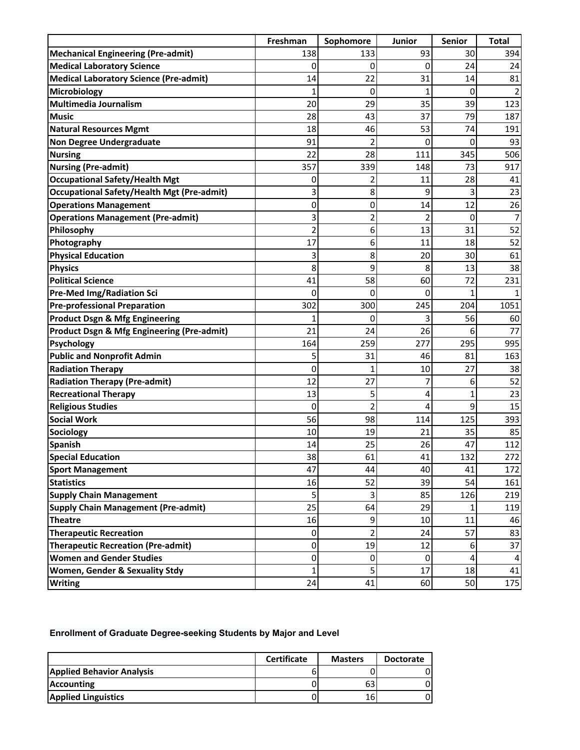|                                                       | Freshman | Sophomore      | Junior         | Senior | <b>Total</b> |
|-------------------------------------------------------|----------|----------------|----------------|--------|--------------|
| <b>Mechanical Engineering (Pre-admit)</b>             | 138      | 133            | 93             | 30     | 394          |
| <b>Medical Laboratory Science</b>                     | 0        | 0              | 0              | 24     | 24           |
| <b>Medical Laboratory Science (Pre-admit)</b>         | 14       | 22             | 31             | 14     | 81           |
| Microbiology                                          |          | 0              | 1              | 0      |              |
| Multimedia Journalism                                 | 20       | 29             | 35             | 39     | 123          |
| <b>Music</b>                                          | 28       | 43             | 37             | 79     | 187          |
| <b>Natural Resources Mgmt</b>                         | 18       | 46             | 53             | 74     | 191          |
| <b>Non Degree Undergraduate</b>                       | 91       | $\overline{2}$ | 0              | 0      | 93           |
| <b>Nursing</b>                                        | 22       | 28             | 111            | 345    | 506          |
| <b>Nursing (Pre-admit)</b>                            | 357      | 339            | 148            | 73     | 917          |
| <b>Occupational Safety/Health Mgt</b>                 | 0        | 2              | 11             | 28     | 41           |
| Occupational Safety/Health Mgt (Pre-admit)            | 3        | 8              | 9              | 3      | 23           |
| <b>Operations Management</b>                          | 0        | 0              | 14             | 12     | 26           |
| <b>Operations Management (Pre-admit)</b>              | 3        | $\overline{c}$ | $\overline{2}$ | 0      | 7            |
| Philosophy                                            | 2        | 6              | 13             | 31     | 52           |
| Photography                                           | 17       | 6              | 11             | 18     | 52           |
| <b>Physical Education</b>                             | 3        | 8              | 20             | 30     | 61           |
| <b>Physics</b>                                        | 8        | 9              | 8              | 13     | 38           |
| <b>Political Science</b>                              | 41       | 58             | 60             | 72     | 231          |
| <b>Pre-Med Img/Radiation Sci</b>                      | $\Omega$ | 0              | 0              | 1      |              |
| <b>Pre-professional Preparation</b>                   | 302      | 300            | 245            | 204    | 1051         |
| <b>Product Dsgn &amp; Mfg Engineering</b>             |          | 0              | 3              | 56     | 60           |
| <b>Product Dsgn &amp; Mfg Engineering (Pre-admit)</b> | 21       | 24             | 26             | 6      | 77           |
| Psychology                                            | 164      | 259            | 277            | 295    | 995          |
| <b>Public and Nonprofit Admin</b>                     | 5        | 31             | 46             | 81     | 163          |
| <b>Radiation Therapy</b>                              | 0        | 1              | 10             | 27     | 38           |
| <b>Radiation Therapy (Pre-admit)</b>                  | 12       | 27             | 7              | 6      | 52           |
| <b>Recreational Therapy</b>                           | 13       | 5              | 4              | 1      | 23           |
| <b>Religious Studies</b>                              | $\Omega$ | $\overline{2}$ | 4              | 9      | 15           |
| <b>Social Work</b>                                    | 56       | 98             | 114            | 125    | 393          |
| <b>Sociology</b>                                      | 10       | 19             | 21             | 35     | 85           |
| <b>Spanish</b>                                        | 14       | 25             | 26             | 47     | 112          |
| <b>Special Education</b>                              | 38       | 61             | 41             | 132    | 272          |
| <b>Sport Management</b>                               | 47       | 44             | 40             | 41     | 172          |
| <b>Statistics</b>                                     | 16       | 52             | 39             | 54     | 161          |
| <b>Supply Chain Management</b>                        | 5        | 3              | 85             | 126    | 219          |
| <b>Supply Chain Management (Pre-admit)</b>            | 25       | 64             | 29             |        | 119          |
| <b>Theatre</b>                                        | 16       | 9              | 10             | 11     | 46           |
| <b>Therapeutic Recreation</b>                         | 0        | $\overline{2}$ | 24             | 57     | 83           |
| <b>Therapeutic Recreation (Pre-admit)</b>             | 0        | 19             | 12             | 6      | 37           |
| <b>Women and Gender Studies</b>                       | 0        | 0              | 0              | 4      |              |
| <b>Women, Gender &amp; Sexuality Stdy</b>             | 1        | 5              | 17             | 18     | 41           |
| <b>Writing</b>                                        | 24       | 41             | 60             | 50     | 175          |

## **Enrollment of Graduate Degree-seeking Students by Major and Level**

|                                  | <b>Certificate</b> | <b>Masters</b> | <b>Doctorate</b> |
|----------------------------------|--------------------|----------------|------------------|
| <b>Applied Behavior Analysis</b> |                    |                |                  |
| <b>Accounting</b>                |                    | 63             |                  |
| <b>Applied Linguistics</b>       |                    | 16.            |                  |